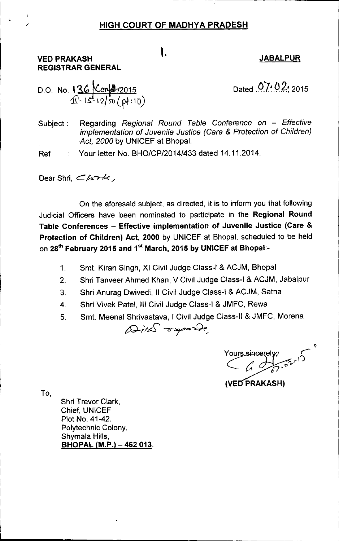#### HIGH COURT OF MADHYA PRADESH

#### VED PRAKASH REGISTRAR GENERAL

# **I.** JABALPUR

D.O. No. 136  $\frac{\text{Confl}/2015}{\text{12.12}}$ 

Dated 07.02.2015

- -----~~~-----------------

Subject: Regarding *Regional Round Table Conference on - Effective implementation* of *Juvenile Justice (Care* & *Protection* of *Children) Act, 2000* by UNICEF at Bhopal.

Ref Your letter No. *BHO/CP/2014/433* dated 14.11.2014.

Dear Shri, *Chark*,

On the aforesaid subject, as directed, it is to inform you that following Judicial Officers have been nominated to participate in the Regional Round Table Conferences - Effective implementation of Juvenile Justice (Care & Protection of Children) Act, 2000 by UNICEF at Bhopal, scheduled to be held on 28<sup>th</sup> February 2015 and 1<sup>st</sup> March, 2015 by UNICEF at Bhopal:

- 1. Smt. Kiran Singh, XI Civil Judge Class-I & ACJM, Bhopal
- 2. Shri Tanveer Ahmed Khan, V Civil Judge Class-I & ACJM, Jabalpur
- 3. Shri Anurag Dwivedi, II Civil Judge Class-I & ACJM, Satna
- 4. Shri Vivek Patel, III Civil Judge Class-I & JMFC, Rewa
- 5. Smt. Meenal Shrivastava, I Civil Judge Class-II & JMFC, Morena

 $\omega_{ik}$   $\sigma$  apande

t Yours sincerely

(VED PRAKASH)

To,

Shri Trevor Clark, Chief, UNICEF Plot No. 41-42. Polytechnic Colony, Shymala Hills,  $BHOPAL (M.P.) - 462013.$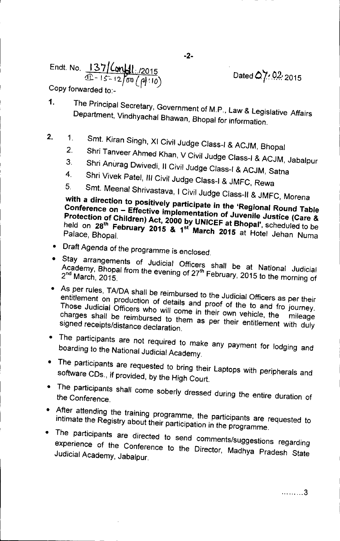$\frac{137 \log_{10}(2015)}{2015}$  Dated 0.7:02:2015  $\text{11} - 15 - 12$  ( $\text{00}$  /  $\text{110}$ )

Copy forwarded to:-

- The Principal Secretary, Government of M.P., Law & Legislative Affairs  $\mathbf{1}$ . Department, Vindhyachal Bhawan, Bhopal for information.
- $2.$ 1. Smt. Kiran Singh, XI Civil Judge Class-I & ACJM, Bhopal
	- 2. Shri Tanveer Ahmed Khan, V Civil Judge Class-I & ACJM, Jabalpur
	- 3. Shri Anurag Dwivedi, Il Civil Judge Class-I & ACJM, Satna
	- 4. Shri Vivek Patel, III Civil Judge Class-J & JMFC, Rewa
	- Smt. Meenal Shrivastava, I Civil Judge Class-II & JMFC, Morena

with a direction to positively participate in the 'Regional Round Table Conference on - Effective implementation of Juvenile Justice (Care &  $\frac{P}{P}$  recession of Children) Act, 2000 by UNICEF at Bhopal', scheduled to be  $\frac{1}{10}$  on 28" February 2015 & 1st March 2015 at Hotel Jehan Numa

- Draft Agenda of the programme is enclosed.
- Stay arrangements of Judicial Officers shall be at National Judicial Academy, Bridpal from the evening of 27<sup>th</sup> February, 2015 to the morning of  $2<sup>nd</sup>$  March, 2015.
- As per rules, *TAIDA* shall be reimbursed to the Judicial Officers as per their entitlement on production of details and proof of the to and fro journey. Those Judicial Officers who will come in their own vehicle, the mileage charges shall be reimbursed to them as per their entitlement with duly signed receipts/distance declaration.
- The participants are not required to make any payment for lodging and boarding to the National Judicial Academy.
- The participants are requested to bring their Laptops with peripherals and software CDs., if provided, by the High Court.
- The participants shall come soberly dressed during the entire duration of the Conference.
- After attending the training programme, the participants are requested to intimate the Registry about their participation in the programme.
- The participants are directed to send comments/suggestions regarding experience of the Conference to the Director, Madhya Pradesh State Judicial Academy, Jabalpur.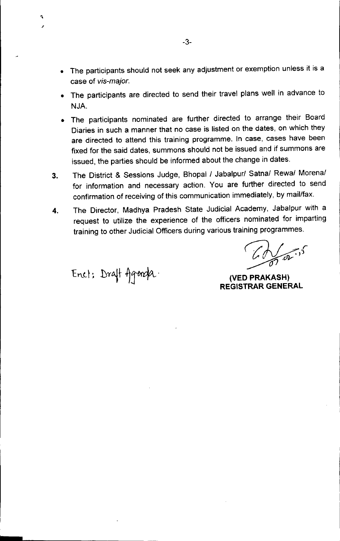- The participants should not seek any adjustment or exemption unless it is a case of *vis-major.*
- The participants are directed to send their travel plans well in advance to NJA.
- The participants nominated are further directed to arrange their Board Diaries in such a manner that no case is listed on the dates, on which they are directed to attend this training programme. In case, cases have been fixed for the said dates, summons should not be issued and if summons are issued, the parties should be informed about the change in dates.
- 3. The District & Sessions Judge, Bhopal/ Jabalpur/ Satna/ Rewa/ Morena/ for information and necessary action. You are further directed to send confirmation of receiving of this communication immediately, by mail/fax.
- 4. The Director, Madhya Pradesh State Judicial Academy, Jabalpur with a request to utilize the experience of the officers nominated for imparting training to other Judicial Officers during various training programmes.

 $\mathbb{Z}$ *~.dV*

**(VED PRAKASH) REGISTRAR GENERAL**

Enet: Draft Agenda.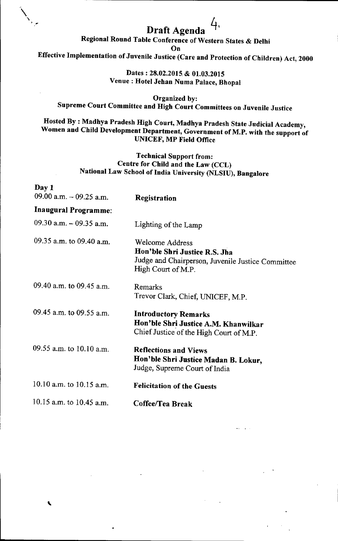# Draft Agenda  $4$ ,

Regional Round Table Conference of Western States & Delhi

On

 $\sum_{\alpha}$ 

"

Effective Implementation of Juvenile Justice (Care and Protection of Children) Act, 2000

Dates: 28.02.2015 & 01.03.2015 Venue: Hotel Jehan Numa Palace, Bhopal

Organized by: Supreme Court Committee and High Court Committees on Juvenile Justice

### Hosted By : Madhya Pradesh High Court, Madhya Pradesh State Judicial Academy, Women and Child Development Department, Government of M.P. with the support of UNICEF, MP Field Office

#### Technical Support from: Centre for Child and the Law (CCL) National Law School of India University (NLSIU), Bangalore

| Day 1<br>09.00 a.m. $-$ 09.25 a.m. |                                                                                                                                    |
|------------------------------------|------------------------------------------------------------------------------------------------------------------------------------|
| <b>Inaugural Programme:</b>        | Registration                                                                                                                       |
| 09.30 a.m. $-$ 09.35 a.m.          | Lighting of the Lamp                                                                                                               |
| 09.35 a.m. to 09.40 a.m.           | <b>Welcome Address</b><br>Hon'ble Shri Justice R.S. Jha<br>Judge and Chairperson, Juvenile Justice Committee<br>High Court of M.P. |
| 09.40 a.m. to 09.45 a.m.           | Remarks<br>Trevor Clark, Chief, UNICEF, M.P.                                                                                       |
| 09.45 a.m. to 09.55 a.m.           | <b>Introductory Remarks</b><br>Hon'ble Shri Justice A.M. Khanwilkar<br>Chief Justice of the High Court of M.P.                     |
| 09.55 a.m. to $10.10$ a.m.         | <b>Reflections and Views</b><br>Hon'ble Shri Justice Madan B. Lokur,<br>Judge, Supreme Court of India                              |
| 10.10 a.m. to 10.15 a.m.           | <b>Felicitation of the Guests</b>                                                                                                  |
| 10.15 a.m. to 10.45 a.m.           | Coffee/Tea Break                                                                                                                   |
|                                    |                                                                                                                                    |

 $\mathbf{r}$  is  $\mathbf{r}$  . The same  $\mathbf{r}$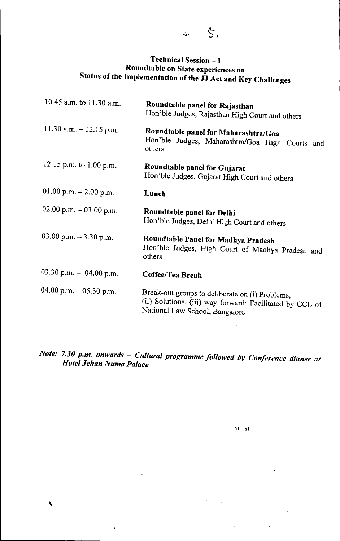## Technical Session - 1 Roundtable on State experiences on Status of the Implementation of the JJ Act and Key Challenges

| 10.45 a.m. to 11.30 a.m.  | Roundtable panel for Rajasthan<br>Hon'ble Judges, Rajasthan High Court and others                                                             |
|---------------------------|-----------------------------------------------------------------------------------------------------------------------------------------------|
| 11.30 a.m. $-$ 12.15 p.m. | Roundtable panel for Maharashtra/Goa<br>Hon'ble Judges, Maharashtra/Goa High Courts and<br>others                                             |
| 12.15 p.m. to 1.00 p.m.   | Roundtable panel for Gujarat<br>Hon'ble Judges, Gujarat High Court and others                                                                 |
| 01.00 p.m. $-2.00$ p.m.   | Lunch                                                                                                                                         |
| 02.00 p.m. - 03.00 p.m.   | Roundtable panel for Delhi<br>Hon'ble Judges, Delhi High Court and others                                                                     |
| 03.00 p.m. $-3.30$ p.m.   | Roundtable Panel for Madhya Pradesh<br>Hon'ble Judges, High Court of Madhya Pradesh and<br>others                                             |
| 03.30 p.m. $-$ 04.00 p.m. | Coffee/Tea Break                                                                                                                              |
| 04.00 p.m. – 05.30 p.m.   | Break-out groups to deliberate on (i) Problems,<br>(ii) Solutions, (iii) way forward: Facilitated by CCL of<br>National Law School, Bangalore |
|                           |                                                                                                                                               |

*Note: 7.30 p.rn. onwards - Cultural programme followed by Conference dinner at Hotel Jehan Numa Palace*

,

•

 $\sim 10^{-10}$ 

 $\mathcal{L}^{(1)}$  .

 $\mathbf{H}^{\prime}$ .  $\mathbf{M}^{\prime}$ 

 $\sim 10^{-1}$ 

**Contract Contract** 

 $\ddot{\phantom{0}}$ 

 $\Delta \sim 10^{11}$ 

 $\lambda_{\rm{max}}$ 

 $-2 S$ .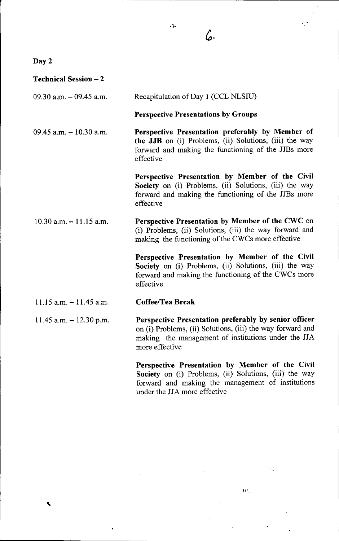Day 2

,

| <b>Technical Session – 2</b> |                                                                                                                                                                                                |
|------------------------------|------------------------------------------------------------------------------------------------------------------------------------------------------------------------------------------------|
| 09.30 a.m. $-$ 09.45 a.m.    | Recapitulation of Day 1 (CCL NLSIU)                                                                                                                                                            |
|                              | <b>Perspective Presentations by Groups</b>                                                                                                                                                     |
| $09.45$ a.m. $-10.30$ a.m.   | Perspective Presentation preferably by Member of<br>the JJB on (i) Problems, (ii) Solutions, (iii) the way<br>forward and making the functioning of the JJBs more<br>effective                 |
|                              | Perspective Presentation by Member of the Civil<br>Society on (i) Problems, (ii) Solutions, (iii) the way<br>forward and making the functioning of the JJBs more<br>effective                  |
| $10.30$ a.m. $-11.15$ a.m.   | Perspective Presentation by Member of the CWC on<br>(i) Problems, (ii) Solutions, (iii) the way forward and<br>making the functioning of the CWCs more effective                               |
|                              | Perspective Presentation by Member of the Civil<br>Society on (i) Problems, (ii) Solutions, (iii) the way<br>forward and making the functioning of the CWCs more<br>effective                  |
| 11.15 a.m. $-11.45$ a.m.     | <b>Coffee/Tea Break</b>                                                                                                                                                                        |
| 11.45 a.m. $-$ 12.30 p.m.    | Perspective Presentation preferably by senior officer<br>on (i) Problems, (ii) Solutions, (iii) the way forward and<br>making the management of institutions under the JJA<br>more effective   |
|                              | Perspective Presentation by Member of the Civil<br>Society on (i) Problems, (ii) Solutions, (iii) the way<br>forward and making the management of institutions<br>under the JJA more effective |

 $\hat{\mathbf{u}}_k$ 

*c,.*

 $\mathbf{v}$